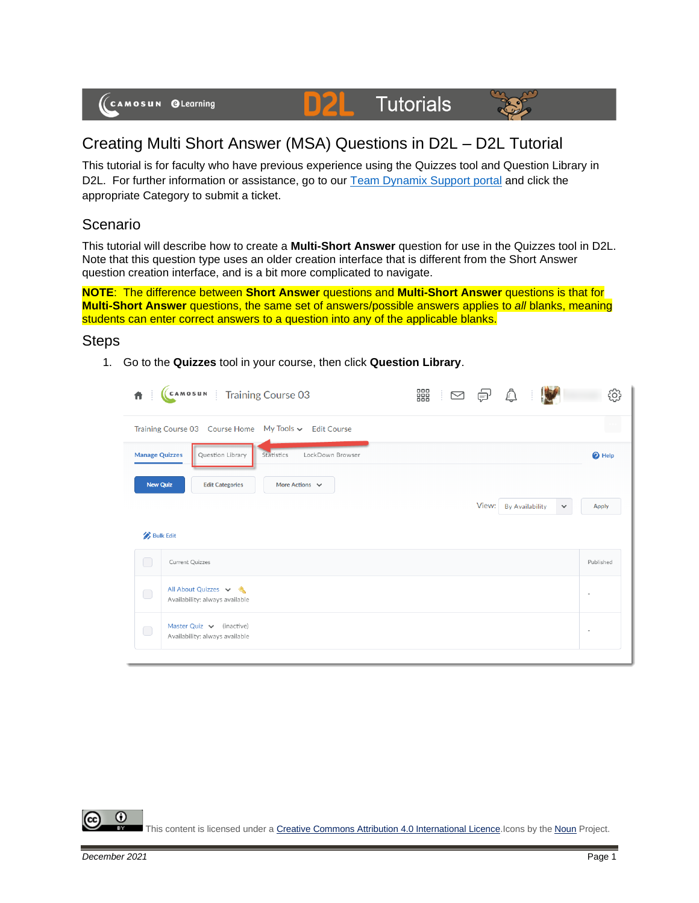

## Creating Multi Short Answer (MSA) Questions in D2L – D2L Tutorial

D

This tutorial is for faculty who have previous experience using the Quizzes tool and Question Library in D2L. For further information or assistance, go to our [Team Dynamix Support portal](https://camosun.teamdynamix.com/TDClient/67/Portal/Requests/ServiceCatalog?CategoryID=523) and click the appropriate Category to submit a ticket.

**Tutorials** 

## Scenario

This tutorial will describe how to create a **Multi-Short Answer** question for use in the Quizzes tool in D2L. Note that this question type uses an older creation interface that is different from the Short Answer question creation interface, and is a bit more complicated to navigate.

**NOTE**: The difference between **Short Answer** questions and **Multi-Short Answer** questions is that for **Multi-Short Answer** questions, the same set of answers/possible answers applies to *all* blanks, meaning students can enter correct answers to a question into any of the applicable blanks.

## Steps

1. Go to the **Quizzes** tool in your course, then click **Question Library**.

| CAMOSUN Training Course 03<br>青                                             |  |             |                        |              | 505                      |
|-----------------------------------------------------------------------------|--|-------------|------------------------|--------------|--------------------------|
| Training Course 03 Course Home My Tools v Edit Course                       |  |             |                        |              |                          |
| <b>Manage Quizzes</b><br>Question Library<br>Statistics<br>LockDown Browser |  |             |                        |              | <sup>O</sup> Help        |
| More Actions $\vee$<br><b>Edit Categories</b>                               |  |             |                        |              |                          |
|                                                                             |  | View:       | <b>By Availability</b> | $\checkmark$ | <b>Apply</b>             |
| <b>Bulk Edit</b>                                                            |  |             |                        |              |                          |
| <b>Current Quizzes</b>                                                      |  |             |                        |              | Published                |
| All About Quizzes v &<br>Availability: always available                     |  |             |                        |              | $\overline{\phantom{a}}$ |
| Master Quiz $\vee$ (inactive)<br>Availability: always available             |  |             |                        |              | $\overline{a}$           |
|                                                                             |  | 器<br>$\geq$ |                        | $\bigcirc$   |                          |

Œ This content is licensed under [a Creative Commons Attribution 4.0 International Licence.I](https://creativecommons.org/licenses/by/4.0/)cons by the [Noun](https://creativecommons.org/website-icons/) Project.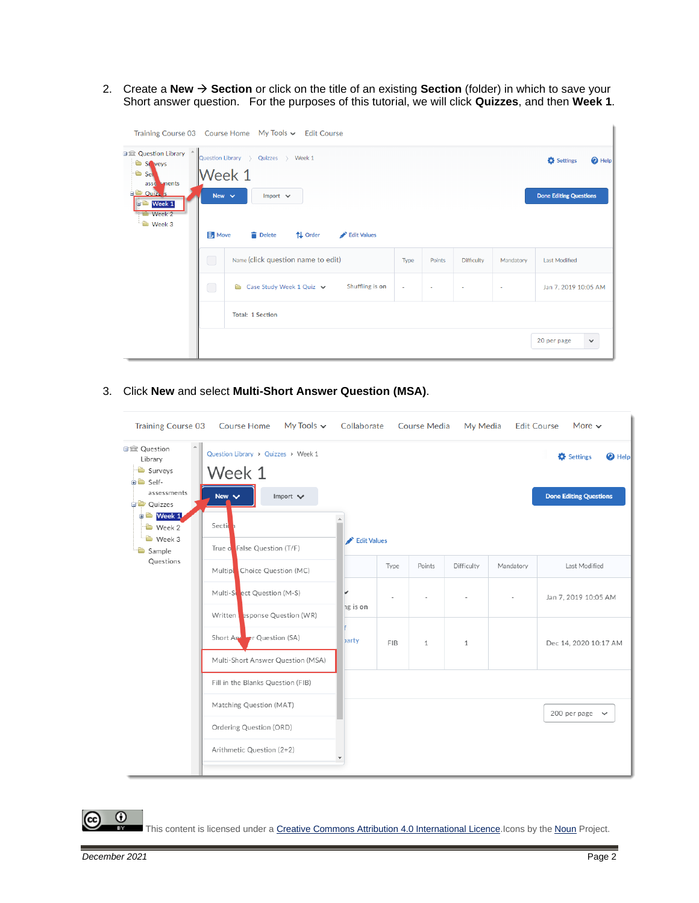2. Create a **New** → **Section** or click on the title of an existing **Section** (folder) in which to save your Short answer question. For the purposes of this tutorial, we will click **Quizzes**, and then **Week 1**.

|                                                                                                                                                                       |                          | Training Course 03 Course Home My Tools v Edit Course                   |        |        |                   |           |                                                              |
|-----------------------------------------------------------------------------------------------------------------------------------------------------------------------|--------------------------|-------------------------------------------------------------------------|--------|--------|-------------------|-----------|--------------------------------------------------------------|
| 日 Question Library <sup>+</sup><br>St veys<br><b>B</b> Self<br>asse sments<br><b>D</b> Ouiz <sub>A</sub> <sub>S</sub><br><b>d<sup>b</sup></b> Week 1<br><b>Week 2</b> | New $\vee$               | Quizzes > Week 1<br>Question Library ><br>Week 1<br>Import $\vee$       |        |        |                   |           | Settings<br>$\bigcirc$ Help<br><b>Done Editing Questions</b> |
| <b>D</b> Week 3                                                                                                                                                       | Move<br>◯                | Delete<br>↑↓ Order<br>Edit Values<br>Name (click question name to edit) | Type   | Points | <b>Difficulty</b> | Mandatory | <b>Last Modified</b>                                         |
|                                                                                                                                                                       | $\hspace{0.5cm} \square$ | Shuffling is on<br>Case Study Week 1 Quiz $\vee$<br>n.                  | $\sim$ | $\sim$ | $\sim$            | ٠         | Jan 7, 2019 10:05 AM                                         |
|                                                                                                                                                                       |                          | <b>Total: 1 Section</b>                                                 |        |        |                   |           |                                                              |
|                                                                                                                                                                       |                          |                                                                         |        |        |                   |           | 20 per page<br>$\checkmark$                                  |

3. Click **New** and select **Multi-Short Answer Question (MSA)**.

| My Tools $\sim$<br><b>Training Course 03</b><br><b>Course Home</b>           | Collaborate                                                |      | <b>Course Media</b> |              |           | More $\sim$<br><b>Edit Course</b>                          |
|------------------------------------------------------------------------------|------------------------------------------------------------|------|---------------------|--------------|-----------|------------------------------------------------------------|
| Question Library > Quizzes > Week 1<br>Week 1<br>New $\vee$<br>Import $\vee$ |                                                            |      |                     |              |           | Settings<br>$\Theta$ Help<br><b>Done Editing Questions</b> |
| Section<br>True o False Question (T/F)                                       |                                                            |      |                     |              |           |                                                            |
| Multip <b>o</b> Choice Question (MC)                                         |                                                            | Type | Points              | Difficulty   | Mandatory | Last Modified                                              |
| Multi-Street Question (M-S)                                                  | ✓<br>ng is on                                              |      |                     |              | $\bar{ }$ | Jan 7, 2019 10:05 AM                                       |
| Short And <b>Pr</b> Question (SA)<br>Multi-Short Answer Question (MSA)       | F<br>barty                                                 | FIB  | $\mathbf{1}$        | $\mathbf{1}$ |           | Dec 14, 2020 10:17 AM                                      |
| Fill in the Blanks Question (FIB)                                            |                                                            |      |                     |              |           |                                                            |
| Matching Question (MAT)                                                      |                                                            |      |                     |              |           | 200 per page $\sim$                                        |
| Arithmetic Question (2+2)                                                    |                                                            |      |                     |              |           |                                                            |
|                                                                              | Written   esponse Question (WR)<br>Ordering Question (ORD) |      | Edit Values         |              |           | My Media                                                   |

 $\overline{0}$ (cc

This content is licensed under [a Creative Commons Attribution 4.0 International Licence.I](https://creativecommons.org/licenses/by/4.0/)cons by the [Noun](https://creativecommons.org/website-icons/) Project.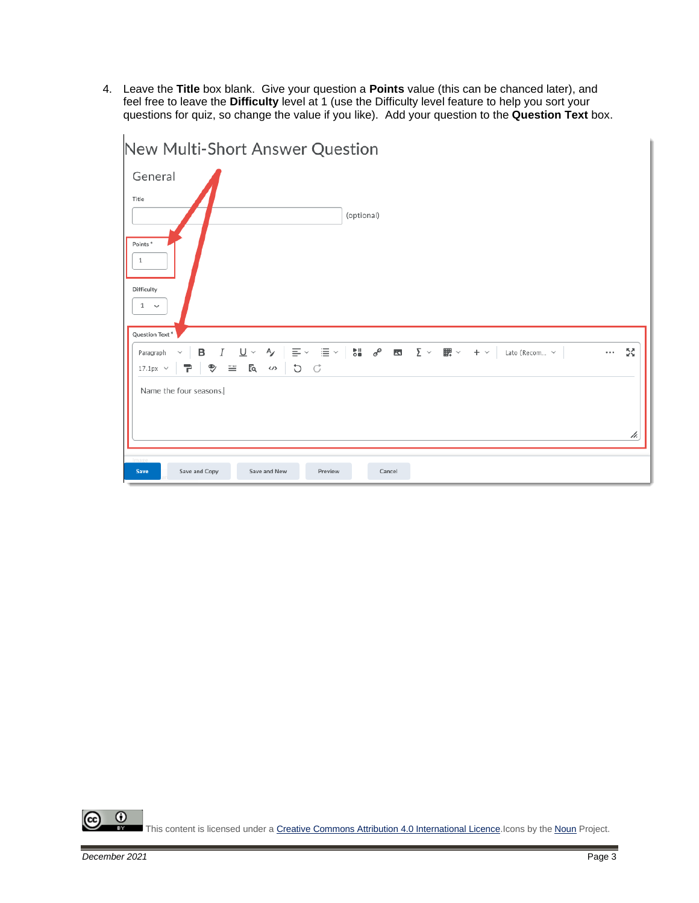4. Leave the **Title** box blank. Give your question a **Points** value (this can be chanced later), and feel free to leave the **Difficulty** level at 1 (use the Difficulty level feature to help you sort your questions for quiz, so change the value if you like). Add your question to the **Question Text** box.



 $\odot$ This content is licensed under [a Creative Commons Attribution 4.0 International Licence.I](https://creativecommons.org/licenses/by/4.0/)cons by the [Noun](https://creativecommons.org/website-icons/) Project.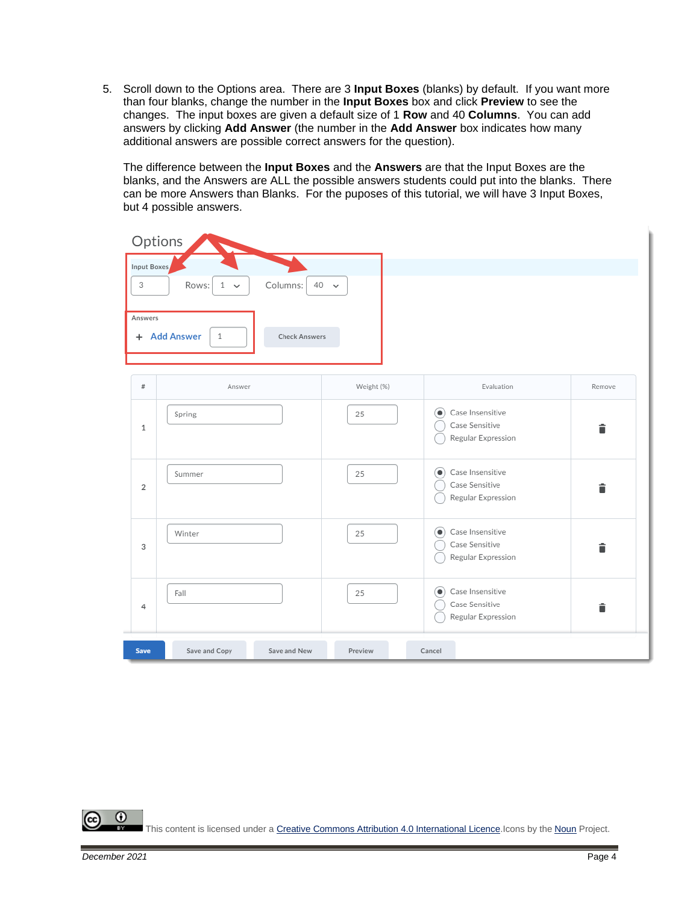5. Scroll down to the Options area. There are 3 **Input Boxes** (blanks) by default. If you want more than four blanks, change the number in the **Input Boxes** box and click **Preview** to see the changes. The input boxes are given a default size of 1 **Row** and 40 **Columns**. You can add answers by clicking **Add Answer** (the number in the **Add Answer** box indicates how many additional answers are possible correct answers for the question).

The difference between the **Input Boxes** and the **Answers** are that the Input Boxes are the blanks, and the Answers are ALL the possible answers students could put into the blanks. There can be more Answers than Blanks. For the puposes of this tutorial, we will have 3 Input Boxes, but 4 possible answers.

| Options<br>Input Boxes<br>3<br>Answers | Rows:<br>Columns:<br>40<br>1<br>$\checkmark$<br>+ Add Answer<br>1<br><b>Check Answers</b> | $\check{ }$ |                                                                       |        |
|----------------------------------------|-------------------------------------------------------------------------------------------|-------------|-----------------------------------------------------------------------|--------|
| $\#$                                   | Answer                                                                                    | Weight (%)  | Evaluation                                                            | Remove |
| $\mathbf{1}$                           | Spring                                                                                    | 25          | Case Insensitive<br>$\bullet$<br>Case Sensitive<br>Regular Expression | Ê      |
| $\overline{2}$                         | Summer                                                                                    | 25          | Case Insensitive<br>$\bullet$<br>Case Sensitive<br>Regular Expression | î      |
| 3                                      | Winter                                                                                    | 25          | Case Insensitive<br>$\bullet$<br>Case Sensitive<br>Regular Expression | Ê      |
| 4                                      | Fall                                                                                      | 25          | Case Insensitive<br>$\bullet$<br>Case Sensitive<br>Regular Expression | î      |
| Save                                   | Save and Copy<br>Save and New                                                             | Preview     | Cancel                                                                |        |

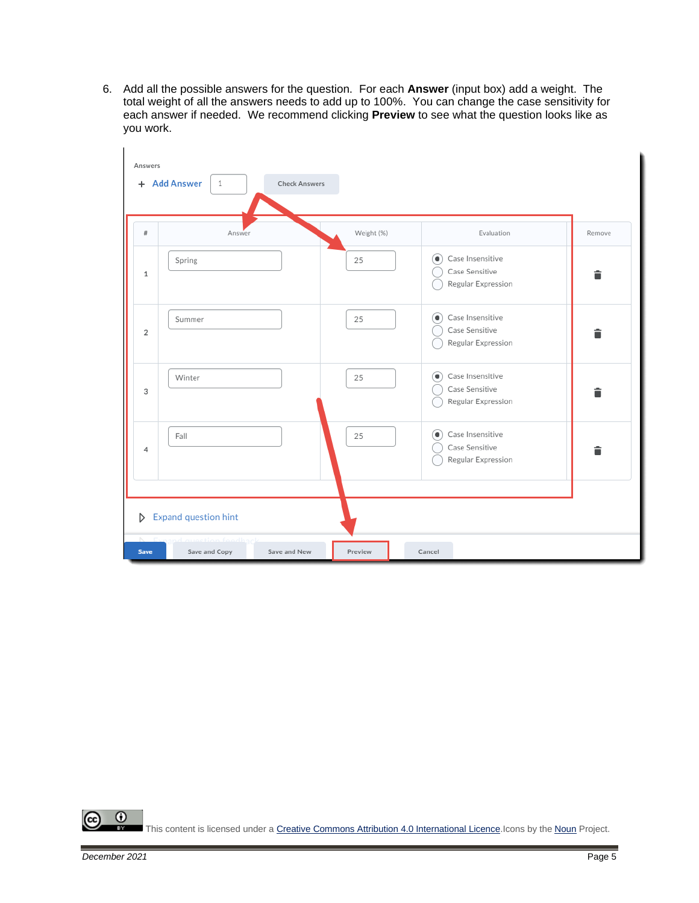6. Add all the possible answers for the question. For each **Answer** (input box) add a weight. The total weight of all the answers needs to add up to 100%. You can change the case sensitivity for each answer if needed. We recommend clicking **Preview** to see what the question looks like as you work.

| Answers                       |                             |                      |            |                                                                                      |        |
|-------------------------------|-----------------------------|----------------------|------------|--------------------------------------------------------------------------------------|--------|
|                               | + Add Answer<br>1           | <b>Check Answers</b> |            |                                                                                      |        |
|                               |                             |                      |            |                                                                                      |        |
| $\#$                          | Answer                      |                      | Weight (%) | Evaluation                                                                           | Remove |
| $\mathbf{1}$                  | Spring                      |                      | 25         | Case Insensitive<br>$\left( \bullet \right)$<br>Case Sensitive<br>Regular Expression | î      |
| $\overline{2}$                | Summer                      |                      | 25         | Case Insensitive<br>$\circledbullet$<br>Case Sensitive<br>Regular Expression         | â      |
| 3                             | Winter                      |                      | 25         | Case Insensitive<br>$\circledbullet$<br>Case Sensitive<br>Regular Expression         | â      |
| 4                             | Fall                        |                      | 25         | Case Insensitive<br>$\circ$<br>Case Sensitive<br>Regular Expression                  | î      |
| D                             | Expand question hint        |                      |            |                                                                                      |        |
| $\mathbb{N}$ .<br><b>Save</b> | raction fo<br>Save and Copy | Save and New         | Preview    | Cancel                                                                               |        |

 $\overline{0}$ (cc This content is licensed under [a Creative Commons Attribution 4.0 International Licence.I](https://creativecommons.org/licenses/by/4.0/)cons by the [Noun](https://creativecommons.org/website-icons/) Project.